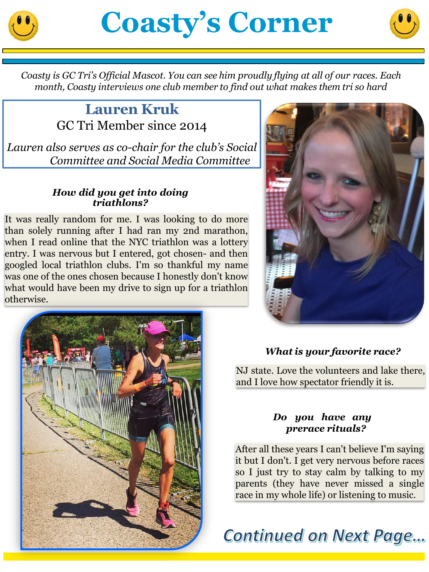



*Coasty is GC Tri's Official Mascot. You can see him proudly flying at all of our races. Each month, Coasty interviews one club member to find out what makes them tri so hard*

# **Lauren Kruk** GC Tri Member since 2014

*Lauren also serves as co-chair for the club's Social Committee and Social Media Committee*

#### *How did you get into doing triathlons?*

It was really random for me. I was looking to do more than solely running after I had ran my 2nd marathon, when I read online that the NYC triathlon was a lottery entry. I was nervous but I entered, got chosen- and then googled local triathlon clubs. I'm so thankful my name was one of the ones chosen because I honestly don't know what would have been my drive to sign up for a triathlon otherwise.





# *What is your favorite race?*

NJ state. Love the volunteers and lake there, and I love how spectator friendly it is.

#### *Do you have any prerace rituals?*

After all these years I can't believe I'm saying it but I don't. I get very nervous before races so I just try to stay calm by talking to my parents (they have never missed a single race in my whole life) or listening to music.

**Continued on Next Page...**